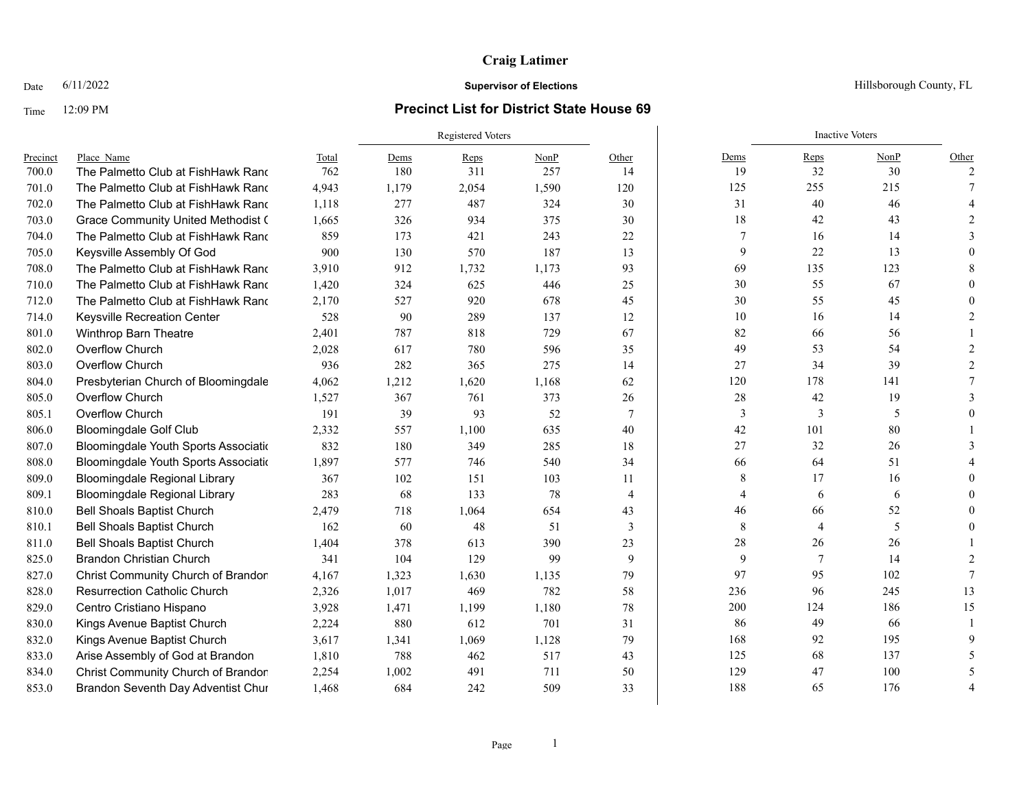# **Craig Latimer**

### Date  $6/11/2022$  Hillsborough County, FL

### Time 12:09 PM **Precinct List for District State House 69**

|          |                                           |       | <b>Registered Voters</b> |       |       |                |         | <b>Inactive Voters</b> |      |       |
|----------|-------------------------------------------|-------|--------------------------|-------|-------|----------------|---------|------------------------|------|-------|
| Precinct | Place Name                                | Total | Dems                     | Reps  | NonP  | Other          | Dems    | Reps                   | NonP | Other |
| 700.0    | The Palmetto Club at FishHawk Rand        | 762   | 180                      | 311   | 257   | 14             | 19      | 32                     | 30   | 2     |
| 701.0    | The Palmetto Club at FishHawk Rand        | 4,943 | 1,179                    | 2,054 | 1,590 | 120            | 125     | 255                    | 215  |       |
| 702.0    | The Palmetto Club at FishHawk Rand        | 1,118 | 277                      | 487   | 324   | 30             | 31      | 40                     | 46   |       |
| 703.0    | <b>Grace Community United Methodist (</b> | 1,665 | 326                      | 934   | 375   | 30             | 18      | 42                     | 43   |       |
| 704.0    | The Palmetto Club at FishHawk Rand        | 859   | 173                      | 421   | 243   | 22             | 7       | 16                     | 14   |       |
| 705.0    | Keysville Assembly Of God                 | 900   | 130                      | 570   | 187   | 13             | 9       | 22                     | 13   |       |
| 708.0    | The Palmetto Club at FishHawk Rand        | 3,910 | 912                      | 1,732 | 1,173 | 93             | 69      | 135                    | 123  |       |
| 710.0    | The Palmetto Club at FishHawk Rand        | 1,420 | 324                      | 625   | 446   | 25             | 30      | 55                     | 67   |       |
| 712.0    | The Palmetto Club at FishHawk Rand        | 2,170 | 527                      | 920   | 678   | 45             | 30      | 55                     | 45   |       |
| 714.0    | Keysville Recreation Center               | 528   | 90                       | 289   | 137   | 12             | 10      | 16                     | 14   |       |
| 801.0    | Winthrop Barn Theatre                     | 2,401 | 787                      | 818   | 729   | 67             | 82      | 66                     | 56   |       |
| 802.0    | Overflow Church                           | 2,028 | 617                      | 780   | 596   | 35             | 49      | 53                     | 54   |       |
| 803.0    | Overflow Church                           | 936   | 282                      | 365   | 275   | 14             | 27      | 34                     | 39   |       |
| 804.0    | Presbyterian Church of Bloomingdale       | 4,062 | 1,212                    | 1,620 | 1,168 | 62             | 120     | 178                    | 141  |       |
| 805.0    | Overflow Church                           | 1,527 | 367                      | 761   | 373   | 26             | 28      | 42                     | 19   |       |
| 805.1    | Overflow Church                           | 191   | 39                       | 93    | 52    | 7              | 3       | 3                      | 5    |       |
| 806.0    | <b>Bloomingdale Golf Club</b>             | 2,332 | 557                      | 1,100 | 635   | 40             | 42      | 101                    | 80   |       |
| 807.0    | Bloomingdale Youth Sports Associatio      | 832   | 180                      | 349   | 285   | 18             | $27\,$  | 32                     | 26   |       |
| 808.0    | Bloomingdale Youth Sports Associatio      | 1,897 | 577                      | 746   | 540   | 34             | 66      | 64                     | 51   |       |
| 809.0    | <b>Bloomingdale Regional Library</b>      | 367   | 102                      | 151   | 103   | 11             | 8       | 17                     | 16   |       |
| 809.1    | <b>Bloomingdale Regional Library</b>      | 283   | 68                       | 133   | 78    | $\overline{4}$ | 4       | 6                      | 6    |       |
| 810.0    | <b>Bell Shoals Baptist Church</b>         | 2,479 | 718                      | 1,064 | 654   | 43             | 46      | 66                     | 52   |       |
| 810.1    | <b>Bell Shoals Baptist Church</b>         | 162   | 60                       | 48    | 51    | 3              | $\,8\,$ | $\overline{4}$         | 5    |       |
| 811.0    | <b>Bell Shoals Baptist Church</b>         | 1,404 | 378                      | 613   | 390   | 23             | 28      | 26                     | 26   |       |
| 825.0    | <b>Brandon Christian Church</b>           | 341   | 104                      | 129   | 99    | 9              | 9       | $7\phantom{.0}$        | 14   |       |
| 827.0    | Christ Community Church of Brandon        | 4,167 | 1,323                    | 1,630 | 1,135 | 79             | 97      | 95                     | 102  |       |
| 828.0    | <b>Resurrection Catholic Church</b>       | 2,326 | 1,017                    | 469   | 782   | 58             | 236     | 96                     | 245  | 13    |
| 829.0    | Centro Cristiano Hispano                  | 3,928 | 1,471                    | 1,199 | 1,180 | 78             | 200     | 124                    | 186  | 15    |
| 830.0    | Kings Avenue Baptist Church               | 2,224 | 880                      | 612   | 701   | 31             | 86      | 49                     | 66   |       |
| 832.0    | Kings Avenue Baptist Church               | 3,617 | 1,341                    | 1,069 | 1,128 | 79             | 168     | 92                     | 195  |       |
| 833.0    | Arise Assembly of God at Brandon          | 1,810 | 788                      | 462   | 517   | 43             | 125     | 68                     | 137  |       |
| 834.0    | Christ Community Church of Brandon        | 2,254 | 1,002                    | 491   | 711   | 50             | 129     | 47                     | 100  |       |
| 853.0    | Brandon Seventh Day Adventist Chur        | 1.468 | 684                      | 242   | 509   | 33             | 188     | 65                     | 176  |       |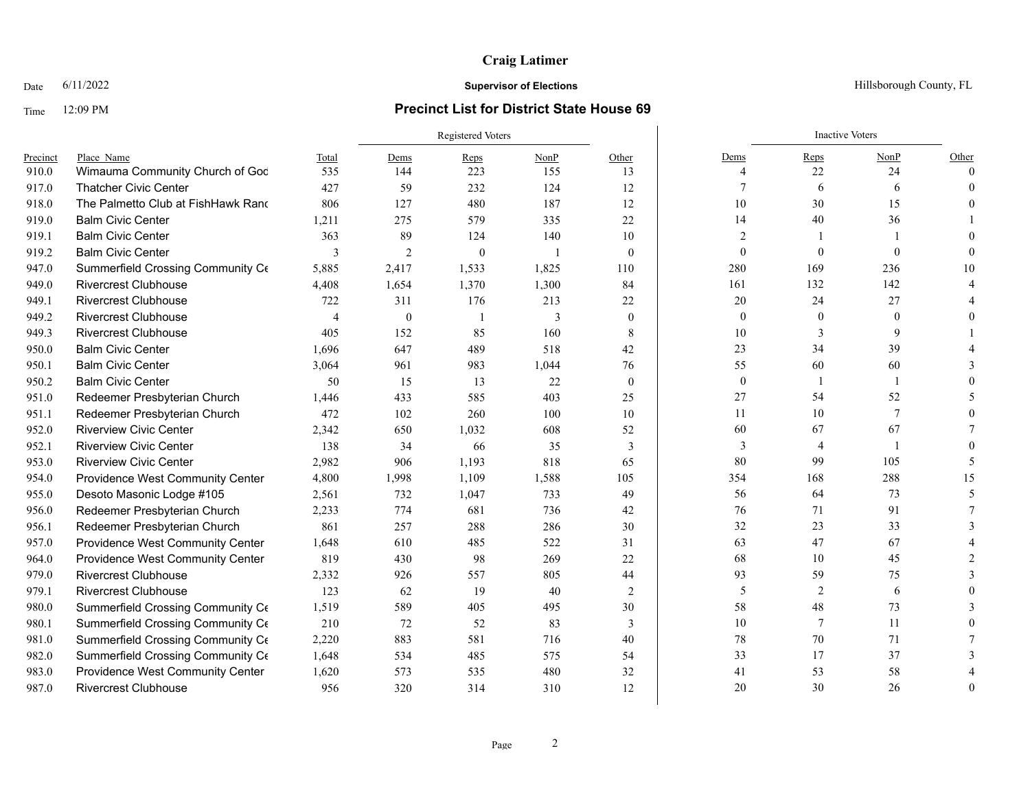# **Craig Latimer**

### Time 12:09 PM **Precinct List for District State House 69**

|          |                                    |       | Registered Voters |                |       |                | <b>Inactive Voters</b> |                  |                |          |
|----------|------------------------------------|-------|-------------------|----------------|-------|----------------|------------------------|------------------|----------------|----------|
| Precinct | Place Name                         | Total | Dems              | Reps           | NonP  | Other          | Dems                   | Reps             | NonP           | Other    |
| 910.0    | Wimauma Community Church of God    | 535   | 144               | 223            | 155   | 13             | 4                      | 22               | 24             | $\Omega$ |
| 917.0    | <b>Thatcher Civic Center</b>       | 427   | 59                | 232            | 124   | 12             |                        | 6                | 6              | 0        |
| 918.0    | The Palmetto Club at FishHawk Rand | 806   | 127               | 480            | 187   | 12             | 10                     | 30               | 15             |          |
| 919.0    | <b>Balm Civic Center</b>           | 1,211 | 275               | 579            | 335   | 22             | 14                     | 40               | 36             |          |
| 919.1    | <b>Balm Civic Center</b>           | 363   | 89                | 124            | 140   | 10             | $\overline{2}$         |                  |                |          |
| 919.2    | <b>Balm Civic Center</b>           | 3     | $\overline{2}$    | $\overline{0}$ | - 1   | $\mathbf{0}$   | $\overline{0}$         | $\boldsymbol{0}$ | $\overline{0}$ |          |
| 947.0    | Summerfield Crossing Community Ce  | 5,885 | 2,417             | 1,533          | 1,825 | 110            | 280                    | 169              | 236            | 10       |
| 949.0    | <b>Rivercrest Clubhouse</b>        | 4,408 | 1,654             | 1,370          | 1,300 | 84             | 161                    | 132              | 142            |          |
| 949.1    | <b>Rivercrest Clubhouse</b>        | 722   | 311               | 176            | 213   | 22             | 20                     | 24               | 27             |          |
| 949.2    | <b>Rivercrest Clubhouse</b>        | 4     | $\overline{0}$    |                | 3     | $\mathbf{0}$   | $\boldsymbol{0}$       | $\mathbf{0}$     | $\mathbf{0}$   |          |
| 949.3    | <b>Rivercrest Clubhouse</b>        | 405   | 152               | 85             | 160   | 8              | $10\,$                 | 3                | 9              |          |
| 950.0    | <b>Balm Civic Center</b>           | 1.696 | 647               | 489            | 518   | 42             | 23                     | 34               | 39             |          |
| 950.1    | <b>Balm Civic Center</b>           | 3,064 | 961               | 983            | 1,044 | 76             | 55                     | 60               | 60             |          |
| 950.2    | <b>Balm Civic Center</b>           | 50    | 15                | 13             | 22    | $\theta$       | $\mathbf{0}$           | -1               |                |          |
| 951.0    | Redeemer Presbyterian Church       | 1,446 | 433               | 585            | 403   | 25             | 27                     | 54               | 52             |          |
| 951.1    | Redeemer Presbyterian Church       | 472   | 102               | 260            | 100   | 10             | 11                     | 10               | $\tau$         |          |
| 952.0    | <b>Riverview Civic Center</b>      | 2,342 | 650               | 1,032          | 608   | 52             | 60                     | 67               | 67             |          |
| 952.1    | <b>Riverview Civic Center</b>      | 138   | 34                | 66             | 35    | 3              | 3                      | $\overline{4}$   |                |          |
| 953.0    | <b>Riverview Civic Center</b>      | 2,982 | 906               | 1,193          | 818   | 65             | 80                     | 99               | 105            |          |
| 954.0    | Providence West Community Center   | 4,800 | 1,998             | 1,109          | 1,588 | 105            | 354                    | 168              | 288            | 15       |
| 955.0    | Desoto Masonic Lodge #105          | 2,561 | 732               | 1,047          | 733   | 49             | 56                     | 64               | 73             |          |
| 956.0    | Redeemer Presbyterian Church       | 2,233 | 774               | 681            | 736   | 42             | 76                     | 71               | 91             |          |
| 956.1    | Redeemer Presbyterian Church       | 861   | 257               | 288            | 286   | 30             | 32                     | 23               | 33             |          |
| 957.0    | Providence West Community Center   | 1,648 | 610               | 485            | 522   | 31             | 63                     | 47               | 67             |          |
| 964.0    | Providence West Community Center   | 819   | 430               | 98             | 269   | 22             | 68                     | 10               | 45             |          |
| 979.0    | <b>Rivercrest Clubhouse</b>        | 2,332 | 926               | 557            | 805   | 44             | 93                     | 59               | 75             |          |
| 979.1    | <b>Rivercrest Clubhouse</b>        | 123   | 62                | 19             | 40    | $\overline{2}$ | 5                      | $\overline{c}$   | 6              |          |
| 980.0    | Summerfield Crossing Community Ce  | 1,519 | 589               | 405            | 495   | 30             | 58                     | 48               | 73             |          |
| 980.1    | Summerfield Crossing Community Ce  | 210   | 72                | 52             | 83    | 3              | 10                     | 7                | 11             |          |
| 981.0    | Summerfield Crossing Community Ce  | 2,220 | 883               | 581            | 716   | 40             | 78                     | 70               | 71             |          |
| 982.0    | Summerfield Crossing Community Ce  | 1,648 | 534               | 485            | 575   | 54             | 33                     | 17               | 37             |          |
| 983.0    | Providence West Community Center   | 1,620 | 573               | 535            | 480   | 32             | 41                     | 53               | 58             |          |
| 987.0    | <b>Rivercrest Clubhouse</b>        | 956   | 320               | 314            | 310   | 12             | 20                     | 30               | 26             | $\theta$ |

### Date  $6/11/2022$  Hillsborough County, FL